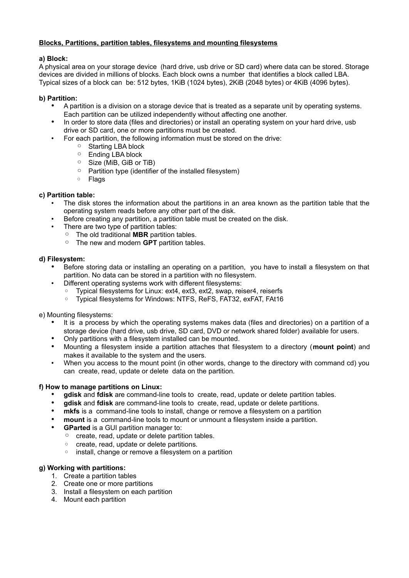# **Blocks, Partitions, partition tables, filesystems and mounting filesystems**

# **a) Block:**

A physical area on your storage device (hard drive, usb drive or SD card) where data can be stored. Storage devices are divided in millions of blocks. Each block owns a number that identifies a block called LBA. Typical sizes of a block can be: 512 bytes, 1KiB (1024 bytes), 2KiB (2048 bytes) or 4KiB (4096 bytes).

### **b) Partition:**

- A partition is a division on a storage device that is treated as a separate unit by operating systems. Each partition can be utilized independently without affecting one another.
- In order to store data (files and directories) or install an operating system on your hard drive, usb drive or SD card, one or more partitions must be created.
- For each partition, the following information must be stored on the drive:
	- Starting LBA block
	- Ending LBA block
	- Size (MiB, GiB or TiB)
	- Partition type (identifier of the installed filesystem)
	- Flags

# **c) Partition table:**

- The disk stores the information about the partitions in an area known as the partition table that the operating system reads before any other part of the disk.
- Before creating any partition, a partition table must be created on the disk.
- There are two type of partition tables:
	- The old traditional **MBR** partition tables.
	- The new and modern **GPT** partition tables.

#### **d) Filesystem:**

- Before storing data or installing an operating on a partition, you have to install a filesystem on that partition. No data can be stored in a partition with no filesystem.
- Different operating systems work with different filesystems:
	- Typical filesystems for Linux: ext4, ext3, ext2, swap, reiser4, reiserfs
	- Typical filesystems for Windows: NTFS, ReFS, FAT32, exFAT, FAt16

e) Mounting filesystems:

- It is a process by which the operating systems makes data (files and directories) on a partition of a storage device (hard drive, usb drive, SD card, DVD or network shared folder) available for users.
- Only partitions with a filesystem installed can be mounted.
- Mounting a filesystem inside a partition attaches that filesystem to a directory (**mount point**) and makes it available to the system and the users.
- When you access to the mount point (in other words, change to the directory with command cd) you can create, read, update or delete data on the partition.

#### **f) How to manage partitions on Linux:**

- **gdisk** and **fdisk** are command-line tools to create, read, update or delete partition tables.
- **gdisk** and **fdisk** are command-line tools to create, read, update or delete partitions.
- **mkfs** is a command-line tools to install, change or remove a filesystem on a partition
- **mount** is a command-line tools to mount or unmount a filesystem inside a partition.
- **GParted** is a GUI partition manager to:
	- create, read, update or delete partition tables.
	- create, read, update or delete partitions.
	- install, change or remove a filesystem on a partition

# **g) Working with partitions:**

- 1. Create a partition tables
- 2. Create one or more partitions
- 3. Install a filesystem on each partition
- 4. Mount each partition